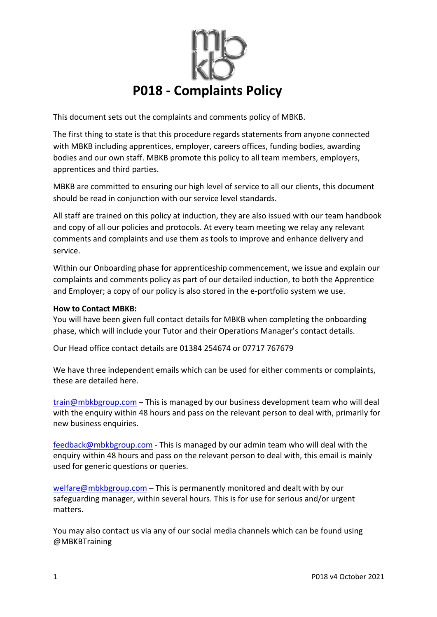

This document sets out the complaints and comments policy of MBKB.

The first thing to state is that this procedure regards statements from anyone connected with MBKB including apprentices, employer, careers offices, funding bodies, awarding bodies and our own staff. MBKB promote this policy to all team members, employers, apprentices and third parties.

MBKB are committed to ensuring our high level of service to all our clients, this document should be read in conjunction with our service level standards.

All staff are trained on this policy at induction, they are also issued with our team handbook and copy of all our policies and protocols. At every team meeting we relay any relevant comments and complaints and use them as tools to improve and enhance delivery and service.

Within our Onboarding phase for apprenticeship commencement, we issue and explain our complaints and comments policy as part of our detailed induction, to both the Apprentice and Employer; a copy of our policy is also stored in the e-portfolio system we use.

#### **How to Contact MBKB:**

You will have been given full contact details for MBKB when completing the onboarding phase, which will include your Tutor and their Operations Manager's contact details.

Our Head office contact details are 01384 254674 or 07717 767679

We have three independent emails which can be used for either comments or complaints, these are detailed here.

train@mbkbgroup.com - This is managed by our business development team who will deal with the enquiry within 48 hours and pass on the relevant person to deal with, primarily for new business enquiries.

feedback@mbkbgroup.com - This is managed by our admin team who will deal with the enquiry within 48 hours and pass on the relevant person to deal with, this email is mainly used for generic questions or queries.

welfare@mbkbgroup.com – This is permanently monitored and dealt with by our safeguarding manager, within several hours. This is for use for serious and/or urgent matters.

You may also contact us via any of our social media channels which can be found using @MBKBTraining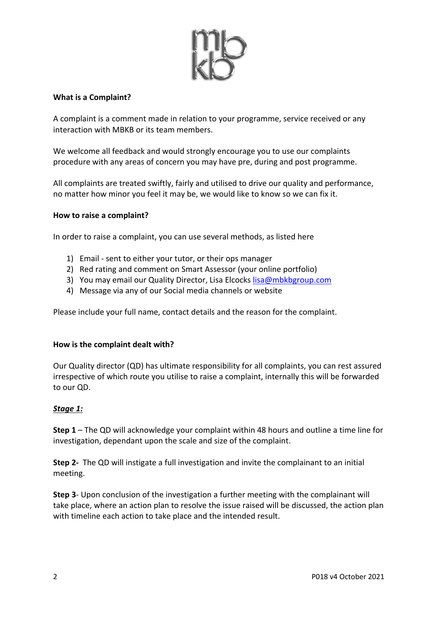

### **What is a Complaint?**

A complaint is a comment made in relation to your programme, service received or any interaction with MBKB or its team members.

We welcome all feedback and would strongly encourage you to use our complaints procedure with any areas of concern you may have pre, during and post programme.

All complaints are treated swiftly, fairly and utilised to drive our quality and performance, no matter how minor you feel it may be, we would like to know so we can fix it.

#### **How to raise a complaint?**

In order to raise a complaint, you can use several methods, as listed here

- 1) Email sent to either your tutor, or their ops manager
- 2) Red rating and comment on Smart Assessor (your online portfolio)
- 3) You may email our Quality Director, Lisa Elcocks lisa@mbkbgroup.com
- 4) Message via any of our Social media channels or website

Please include your full name, contact details and the reason for the complaint.

#### **How is the complaint dealt with?**

Our Quality director (QD) has ultimate responsibility for all complaints, you can rest assured irrespective of which route you utilise to raise a complaint, internally this will be forwarded to our QD.

#### *Stage 1:*

**Step 1** – The QD will acknowledge your complaint within 48 hours and outline a time line for investigation, dependant upon the scale and size of the complaint.

**Step 2-** The QD will instigate a full investigation and invite the complainant to an initial meeting.

**Step 3**- Upon conclusion of the investigation a further meeting with the complainant will take place, where an action plan to resolve the issue raised will be discussed, the action plan with timeline each action to take place and the intended result.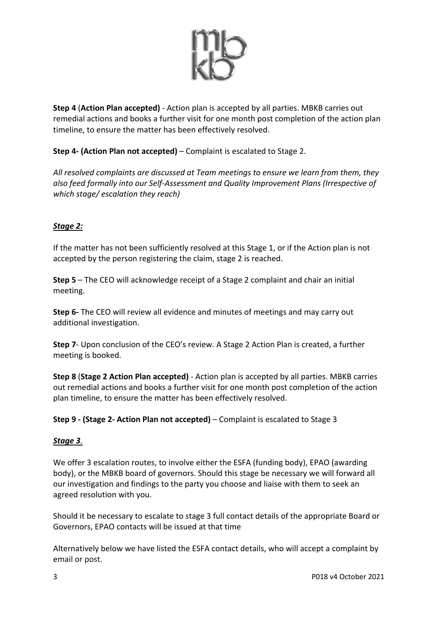

**Step 4** (**Action Plan accepted)** - Action plan is accepted by all parties. MBKB carries out remedial actions and books a further visit for one month post completion of the action plan timeline, to ensure the matter has been effectively resolved.

# **Step 4- (Action Plan not accepted)** – Complaint is escalated to Stage 2.

*All resolved complaints are discussed at Team meetings to ensure we learn from them, they also feed formally into our Self-Assessment and Quality Improvement Plans (Irrespective of which stage/ escalation they reach)*

## *Stage 2:*

If the matter has not been sufficiently resolved at this Stage 1, or if the Action plan is not accepted by the person registering the claim, stage 2 is reached.

**Step 5** – The CEO will acknowledge receipt of a Stage 2 complaint and chair an initial meeting.

**Step 6-** The CEO will review all evidence and minutes of meetings and may carry out additional investigation.

**Step 7**- Upon conclusion of the CEO's review. A Stage 2 Action Plan is created, a further meeting is booked.

**Step 8** (**Stage 2 Action Plan accepted)** - Action plan is accepted by all parties. MBKB carries out remedial actions and books a further visit for one month post completion of the action plan timeline, to ensure the matter has been effectively resolved.

**Step 9 - (Stage 2- Action Plan not accepted)** – Complaint is escalated to Stage 3

## *Stage 3.*

We offer 3 escalation routes, to involve either the ESFA (funding body), EPAO (awarding body), or the MBKB board of governors. Should this stage be necessary we will forward all our investigation and findings to the party you choose and liaise with them to seek an agreed resolution with you.

Should it be necessary to escalate to stage 3 full contact details of the appropriate Board or Governors, EPAO contacts will be issued at that time

Alternatively below we have listed the ESFA contact details, who will accept a complaint by email or post.